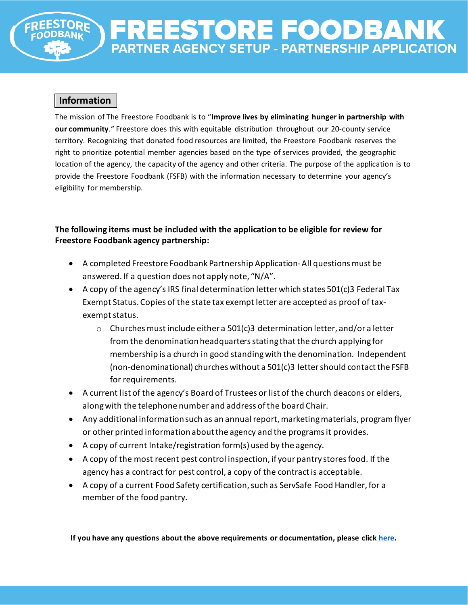# REESTORE FOODBAN PARTNER AGENCY SETUP - PARTNERSHIP APPLICATION

## **Information**

The mission of The Freestore Foodbank is to "**Improve lives by eliminating hunger in partnership with our community**." Freestore does this with equitable distribution throughout our 20-county service territory. Recognizing that donated food resources are limited, the Freestore Foodbank reserves the right to prioritize potential member agencies based on the type of services provided, the geographic location of the agency, the capacity of the agency and other criteria. The purpose of the application is to provide the Freestore Foodbank (FSFB) with the information necessary to determine your agency's eligibility for membership.

## **The following items must be included with the application to be eligible for review for Freestore Foodbank agency partnership:**

- A completed Freestore Foodbank Partnership Application- All questions must be answered. If a question does not apply note, "N/A".
- A copy of the agency's IRS final determination letter which states 501(c)3 Federal Tax Exempt Status. Copies of the state tax exempt letter are accepted as proof of taxexempt status.
	- $\circ$  Churches must include either a 501(c)3 determination letter, and/or a letter from the denomination headquarters stating that the church applying for membership is a church in good standing with the denomination. Independent (non-denominational) churches without a 501(c)3 letter should contact the FSFB for requirements.
- A current list of the agency's Board of Trustees or list of the church deacons or elders, along with the telephone number and address of the board Chair.
- Any additional information such as an annual report, marketing materials, program flyer or other printed information about the agency and the programs it provides.
- A copy of current Intake/registration form(s) used by the agency.
- A copy of the most recent pest control inspection, if your pantry stores food. If the agency has a contract for pest control, a copy of the contract is acceptable.
- A copy of a current Food Safety certification, such as ServSafe Food Handler, for a member of the food pantry.

**If you have any questions about the above requirements or documentation, please click [here.](mailto:help@freestorefoodbank.org)**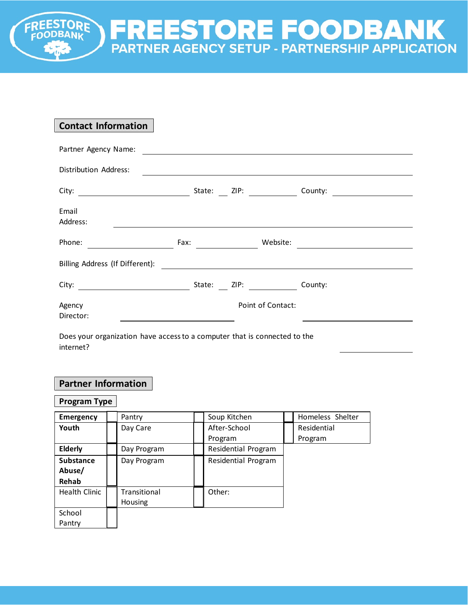## **Contact Information**

**STORE** 

| Partner Agency Name:            |        |                   |         |
|---------------------------------|--------|-------------------|---------|
| Distribution Address:           |        |                   |         |
|                                 | State: |                   | County: |
| Email<br>Address:               |        |                   |         |
| Phone:                          |        | Website:          |         |
| Billing Address (If Different): |        |                   |         |
| City: $\qquad \qquad$           | State: |                   | County: |
| Agency<br>Director:             |        | Point of Contact: |         |
|                                 |        |                   |         |

**FREESTORE FOODBANK**<br>PARTNER AGENCY SETUP - PARTNERSHIP APPLICATION

Does your organization have access to a computer that is connected to the internet?

## **Partner Information**

## **Program Type**

| <b>Emergency</b> | Pantry       | Soup Kitchen        | Homeless Shelter |
|------------------|--------------|---------------------|------------------|
| Youth            | Day Care     | After-School        | Residential      |
|                  |              | Program             | Program          |
| <b>Elderly</b>   | Day Program  | Residential Program |                  |
| <b>Substance</b> | Day Program  | Residential Program |                  |
| Abuse/           |              |                     |                  |
| Rehab            |              |                     |                  |
| Health Clinic    | Transitional | Other:              |                  |
|                  | Housing      |                     |                  |
| School           |              |                     |                  |
| Pantry           |              |                     |                  |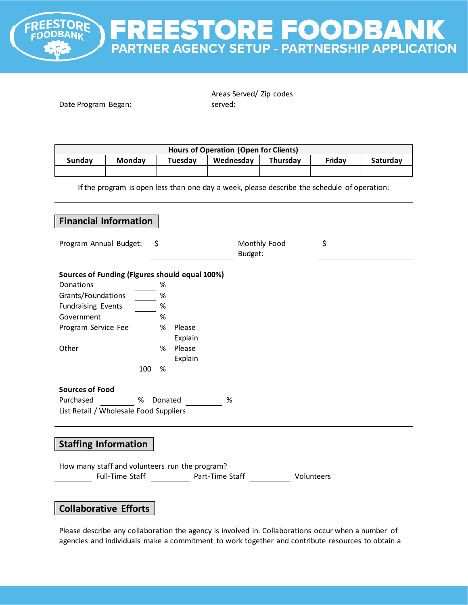**FREESTORE FOODBANK**<br>PARTNER AGENCY SETUP - PARTNERSHIP APPLICATION

**PRE** 

| Date Program Began:                                                                                        |                                                                   |                                                                                 | Areas Served/ Zip codes<br>served:                                                          |              |            |          |
|------------------------------------------------------------------------------------------------------------|-------------------------------------------------------------------|---------------------------------------------------------------------------------|---------------------------------------------------------------------------------------------|--------------|------------|----------|
|                                                                                                            |                                                                   |                                                                                 |                                                                                             |              |            |          |
|                                                                                                            |                                                                   |                                                                                 | <b>Hours of Operation (Open for Clients)</b>                                                |              |            |          |
| <b>Sunday</b>                                                                                              | <b>Monday</b>                                                     | Tuesday                                                                         | Wednesday                                                                                   | Thursday     | Friday     | Saturday |
|                                                                                                            |                                                                   |                                                                                 |                                                                                             |              |            |          |
|                                                                                                            |                                                                   |                                                                                 | If the program is open less than one day a week, please describe the schedule of operation: |              |            |          |
|                                                                                                            |                                                                   |                                                                                 |                                                                                             |              |            |          |
|                                                                                                            | <b>Financial Information</b>                                      |                                                                                 |                                                                                             |              |            |          |
| Program Annual Budget:                                                                                     |                                                                   | \$                                                                              |                                                                                             | Monthly Food | \$         |          |
|                                                                                                            |                                                                   |                                                                                 | Budget:                                                                                     |              |            |          |
| Donations<br>Grants/Foundations<br><b>Fundraising Events</b><br>Government<br>Program Service Fee<br>Other | Sources of Funding (Figures should equal 100%)<br>100             | %<br>$\%$<br>$\%$<br>%<br>%<br>Please<br>Explain<br>%<br>Please<br>Explain<br>% |                                                                                             |              |            |          |
| <b>Sources of Food</b><br>Purchased                                                                        | %                                                                 |                                                                                 |                                                                                             |              |            |          |
|                                                                                                            | List Retail / Wholesale Food Suppliers                            | Donated                                                                         | %                                                                                           |              |            |          |
|                                                                                                            |                                                                   |                                                                                 |                                                                                             |              |            |          |
| <b>Staffing Information</b>                                                                                |                                                                   |                                                                                 |                                                                                             |              |            |          |
|                                                                                                            | How many staff and volunteers run the program?<br>Full-Time Staff |                                                                                 | Part-Time Staff                                                                             |              | Volunteers |          |
|                                                                                                            | <b>Collaborative Efforts</b>                                      |                                                                                 |                                                                                             |              |            |          |

Please describe any collaboration the agency is involved in. Collaborations occur when a number of agencies and individuals make a commitment to work together and contribute resources to obtain a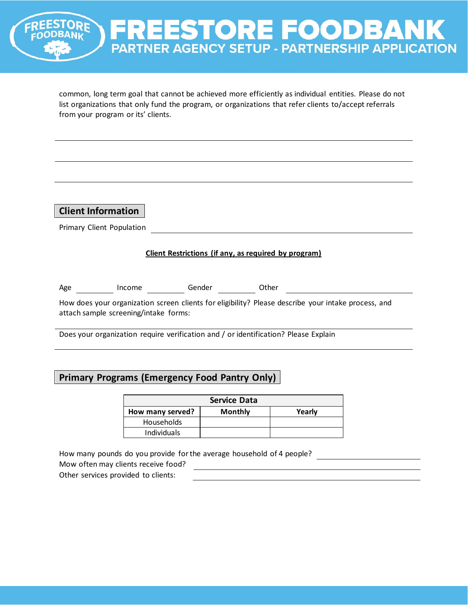

common, long term goal that cannot be achieved more efficiently as individual entities. Please do not list organizations that only fund the program, or organizations that refer clients to/accept referrals from your program or its' clients.

**Client Information**

Primary Client Population

#### **Client Restrictions (if any, as required by program)**

|  | Age | Income | Gender | Other |
|--|-----|--------|--------|-------|
|--|-----|--------|--------|-------|

How does your organization screen clients for eligibility? Please describe your intake process, and attach sample screening/intake forms:

Does your organization require verification and / or identification? Please Explain

## **Primary Programs (Emergency Food Pantry Only)**

|                    | <b>Service Data</b> |        |
|--------------------|---------------------|--------|
| How many served?   | <b>Monthly</b>      | Yearly |
| <b>Households</b>  |                     |        |
| <b>Individuals</b> |                     |        |

How many pounds do you provide for the average household of 4 people?

Mow often may clients receive food?

Other services provided to clients: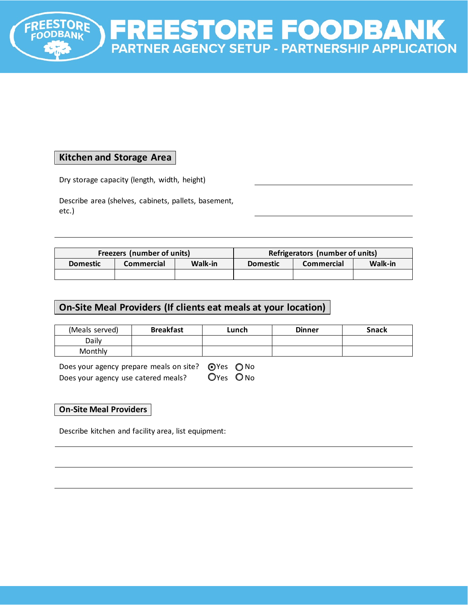

## **Kitchen and Storage Area**

Dry storage capacity (length, width, height)

Describe area (shelves, cabinets, pallets, basement, etc.)

| Freezers (number of units) |            |         | Refrigerators (number of units) |            |                |
|----------------------------|------------|---------|---------------------------------|------------|----------------|
| <b>Domestic</b>            | Commercial | Walk-in | <b>Domestic</b>                 | Commercial | <b>Walk-in</b> |
|                            |            |         |                                 |            |                |

## **On-Site Meal Providers (If clients eat meals at your location)**

| (Meals served) | <b>Breakfast</b> | ∟unch | <b>Dinner</b> | <b>Snack</b> |
|----------------|------------------|-------|---------------|--------------|
| Daily          |                  |       |               |              |
| Monthly        |                  |       |               |              |

| Does your agency prepare meals on site? $\bigcirc$ Yes $\bigcirc$ No |          |  |
|----------------------------------------------------------------------|----------|--|
| Does your agency use catered meals?                                  | OYes ONo |  |

#### **On-Site Meal Providers**

Describe kitchen and facility area, list equipment: